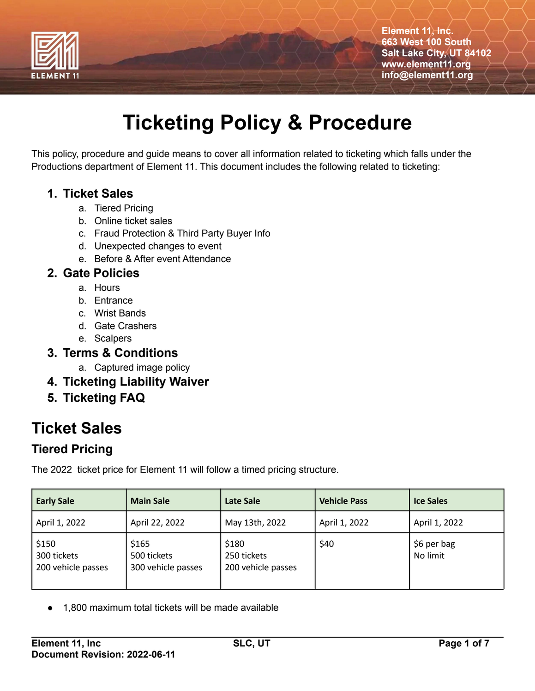

# **Ticketing Policy & Procedure**

This policy, procedure and guide means to cover all information related to ticketing which falls under the Productions department of Element 11. This document includes the following related to ticketing:

#### **1. Ticket Sales**

- a. Tiered Pricing
- b. Online ticket sales
- c. Fraud Protection & Third Party Buyer Info
- d. Unexpected changes to event
- e. Before & After event Attendance

#### **2. Gate Policies**

- a. Hours
- b. Entrance
- c. Wrist Bands
- d. Gate Crashers
- e. Scalpers

#### **3. Terms & Conditions**

- a. Captured image policy
- **4. Ticketing Liability Waiver**
- **5. Ticketing FAQ**

# **Ticket Sales**

## **Tiered Pricing**

The 2022 ticket price for Element 11 will follow a timed pricing structure.

| <b>Early Sale</b>                          | <b>Main Sale</b>                           | <b>Late Sale</b>                           | <b>Vehicle Pass</b> | <b>Ice Sales</b>        |
|--------------------------------------------|--------------------------------------------|--------------------------------------------|---------------------|-------------------------|
| April 1, 2022                              | April 22, 2022                             | May 13th, 2022                             | April 1, 2022       | April 1, 2022           |
| \$150<br>300 tickets<br>200 vehicle passes | \$165<br>500 tickets<br>300 vehicle passes | \$180<br>250 tickets<br>200 vehicle passes | \$40                | \$6 per bag<br>No limit |

1,800 maximum total tickets will be made available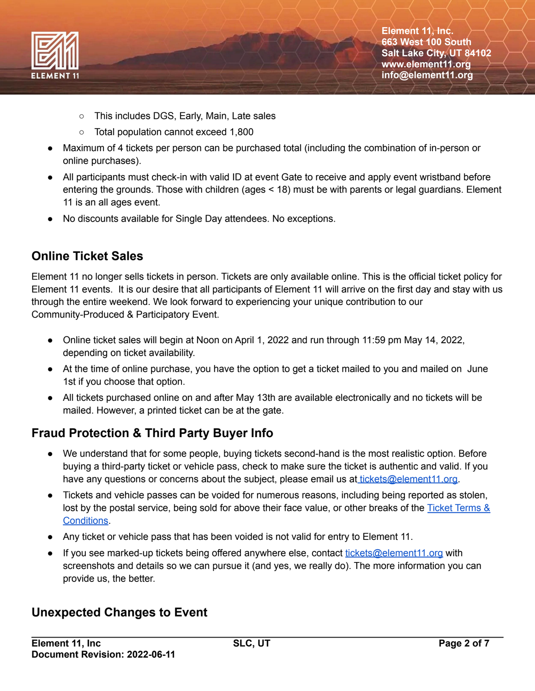

- This includes DGS, Early, Main, Late sales
- Total population cannot exceed 1,800
- Maximum of 4 tickets per person can be purchased total (including the combination of in-person or online purchases).
- All participants must check-in with valid ID at event Gate to receive and apply event wristband before entering the grounds. Those with children (ages < 18) must be with parents or legal guardians. Element 11 is an all ages event.
- No discounts available for Single Day attendees. No exceptions.

### **Online Ticket Sales**

Element 11 no longer sells tickets in person. Tickets are only available online. This is the official ticket policy for Element 11 events. It is our desire that all participants of Element 11 will arrive on the first day and stay with us through the entire weekend. We look forward to experiencing your unique contribution to our Community-Produced & Participatory Event.

- Online ticket sales will begin at Noon on April 1, 2022 and run through 11:59 pm May 14, 2022, depending on ticket availability.
- At the time of online purchase, you have the option to get a ticket mailed to you and mailed on June 1st if you choose that option.
- All tickets purchased online on and after May 13th are available electronically and no tickets will be mailed. However, a printed ticket can be at the gate.

## **Fraud Protection & Third Party Buyer Info**

- We understand that for some people, buying tickets second-hand is the most realistic option. Before buying a third-party ticket or vehicle pass, check to make sure the ticket is authentic and valid. If you have any questions or concerns about the subject, please email us at [tickets@element11.org.](mailto:tickets@element11.org)
- Tickets and vehicle passes can be voided for numerous reasons, including being reported as stolen, lost by the postal service, being sold for above their face value, or other breaks of the Ticket [Terms](https://www.element11.org/ticket-terms/) & [Conditions.](https://www.element11.org/ticket-terms/)
- Any ticket or vehicle pass that has been voided is not valid for entry to Element 11.
- If you see marked-up tickets being offered anywhere else, contact [tickets@element11.org](mailto:tickets@element11.org) with screenshots and details so we can pursue it (and yes, we really do). The more information you can provide us, the better.

#### **Unexpected Changes to Event**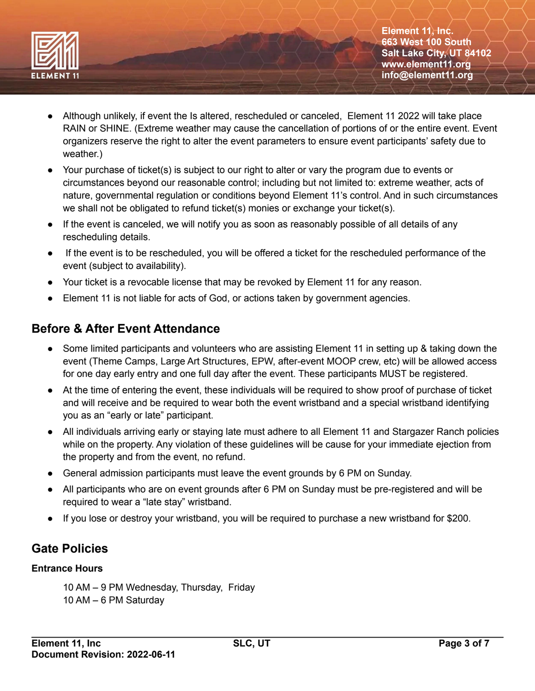

- Although unlikely, if event the Is altered, rescheduled or canceled, Element 11 2022 will take place RAIN or SHINE. (Extreme weather may cause the cancellation of portions of or the entire event. Event organizers reserve the right to alter the event parameters to ensure event participants' safety due to weather.)
- Your purchase of ticket(s) is subject to our right to alter or vary the program due to events or circumstances beyond our reasonable control; including but not limited to: extreme weather, acts of nature, governmental regulation or conditions beyond Element 11's control. And in such circumstances we shall not be obligated to refund ticket(s) monies or exchange your ticket(s).
- If the event is canceled, we will notify you as soon as reasonably possible of all details of any rescheduling details.
- If the event is to be rescheduled, you will be offered a ticket for the rescheduled performance of the event (subject to availability).
- Your ticket is a revocable license that may be revoked by Element 11 for any reason.
- Element 11 is not liable for acts of God, or actions taken by government agencies.

### **Before & After Event Attendance**

- Some limited participants and volunteers who are assisting Element 11 in setting up & taking down the event (Theme Camps, Large Art Structures, EPW, after-event MOOP crew, etc) will be allowed access for one day early entry and one full day after the event. These participants MUST be registered.
- At the time of entering the event, these individuals will be required to show proof of purchase of ticket and will receive and be required to wear both the event wristband and a special wristband identifying you as an "early or late" participant.
- All individuals arriving early or staying late must adhere to all Element 11 and Stargazer Ranch policies while on the property. Any violation of these guidelines will be cause for your immediate ejection from the property and from the event, no refund.
- General admission participants must leave the event grounds by 6 PM on Sunday.
- All participants who are on event grounds after 6 PM on Sunday must be pre-registered and will be required to wear a "late stay" wristband.
- If you lose or destroy your wristband, you will be required to purchase a new wristband for \$200.

# **Gate Policies**

#### **Entrance Hours**

10 AM – 9 PM Wednesday, Thursday, Friday 10 AM – 6 PM Saturday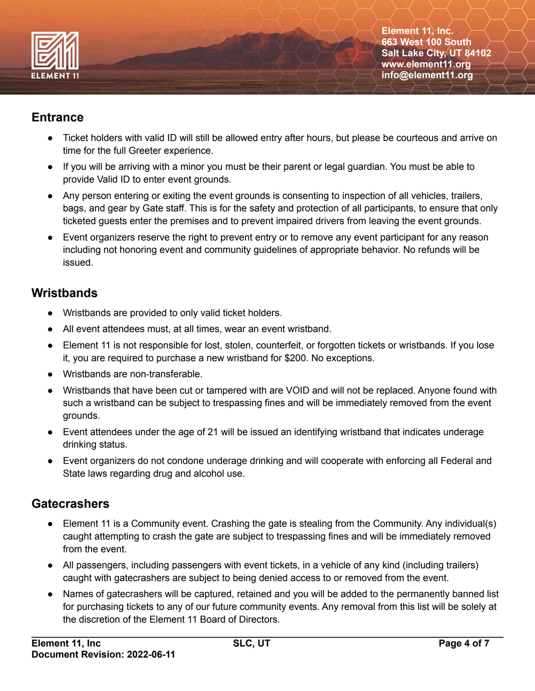

#### **Entrance**

- Ticket holders with valid ID will still be allowed entry after hours, but please be courteous and arrive on time for the full Greeter experience.
- If you will be arriving with a minor you must be their parent or legal guardian. You must be able to provide Valid ID to enter event grounds.
- Any person entering or exiting the event grounds is consenting to inspection of all vehicles, trailers, bags, and gear by Gate staff. This is for the safety and protection of all participants, to ensure that only ticketed guests enter the premises and to prevent impaired drivers from leaving the event grounds.
- Event organizers reserve the right to prevent entry or to remove any event participant for any reason including not honoring event and community guidelines of appropriate behavior. No refunds will be issued.

### **Wristbands**

- Wristbands are provided to only valid ticket holders.
- All event attendees must, at all times, wear an event wristband.
- Element 11 is not responsible for lost, stolen, counterfeit, or forgotten tickets or wristbands. If you lose it, you are required to purchase a new wristband for \$200. No exceptions.
- Wristbands are non-transferable.
- Wristbands that have been cut or tampered with are VOID and will not be replaced. Anyone found with such a wristband can be subject to trespassing fines and will be immediately removed from the event grounds.
- Event attendees under the age of 21 will be issued an identifying wristband that indicates underage drinking status.
- Event organizers do not condone underage drinking and will cooperate with enforcing all Federal and State laws regarding drug and alcohol use.

# **Gatecrashers**

- Element 11 is a Community event. Crashing the gate is stealing from the Community. Any individual(s) caught attempting to crash the gate are subject to trespassing fines and will be immediately removed from the event.
- All passengers, including passengers with event tickets, in a vehicle of any kind (including trailers) caught with gatecrashers are subject to being denied access to or removed from the event.
- Names of gatecrashers will be captured, retained and you will be added to the permanently banned list for purchasing tickets to any of our future community events. Any removal from this list will be solely at the discretion of the Element 11 Board of Directors.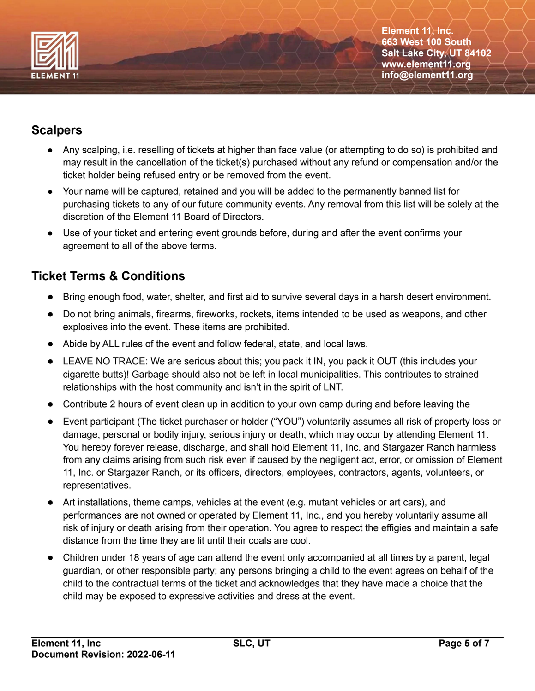

## **Scalpers**

- Any scalping, i.e. reselling of tickets at higher than face value (or attempting to do so) is prohibited and may result in the cancellation of the ticket(s) purchased without any refund or compensation and/or the ticket holder being refused entry or be removed from the event.
- Your name will be captured, retained and you will be added to the permanently banned list for purchasing tickets to any of our future community events. Any removal from this list will be solely at the discretion of the Element 11 Board of Directors.
- Use of your ticket and entering event grounds before, during and after the event confirms your agreement to all of the above terms.

## **Ticket Terms & Conditions**

- Bring enough food, water, shelter, and first aid to survive several days in a harsh desert environment.
- Do not bring animals, firearms, fireworks, rockets, items intended to be used as weapons, and other explosives into the event. These items are prohibited.
- Abide by ALL rules of the event and follow federal, state, and local laws.
- LEAVE NO TRACE: We are serious about this; you pack it IN, you pack it OUT (this includes your cigarette butts)! Garbage should also not be left in local municipalities. This contributes to strained relationships with the host community and isn't in the spirit of LNT.
- Contribute 2 hours of event clean up in addition to your own camp during and before leaving the
- Event participant (The ticket purchaser or holder ("YOU") voluntarily assumes all risk of property loss or damage, personal or bodily injury, serious injury or death, which may occur by attending Element 11. You hereby forever release, discharge, and shall hold Element 11, Inc. and Stargazer Ranch harmless from any claims arising from such risk even if caused by the negligent act, error, or omission of Element 11, Inc. or Stargazer Ranch, or its officers, directors, employees, contractors, agents, volunteers, or representatives.
- Art installations, theme camps, vehicles at the event (e.g. mutant vehicles or art cars), and performances are not owned or operated by Element 11, Inc., and you hereby voluntarily assume all risk of injury or death arising from their operation. You agree to respect the effigies and maintain a safe distance from the time they are lit until their coals are cool.
- Children under 18 years of age can attend the event only accompanied at all times by a parent, legal guardian, or other responsible party; any persons bringing a child to the event agrees on behalf of the child to the contractual terms of the ticket and acknowledges that they have made a choice that the child may be exposed to expressive activities and dress at the event.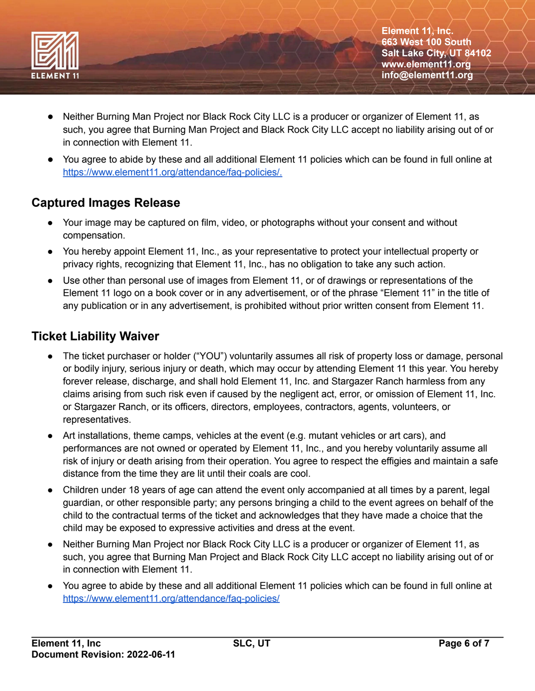

- Neither Burning Man Project nor Black Rock City LLC is a producer or organizer of Element 11, as such, you agree that Burning Man Project and Black Rock City LLC accept no liability arising out of or in connection with Element 11.
- You agree to abide by these and all additional Element 11 policies which can be found in full online at [https://www.element11.org/attendance/faq-policies/.](https://www.element11.org/attendance/faq-policies/)

### **Captured Images Release**

- Your image may be captured on film, video, or photographs without your consent and without compensation.
- You hereby appoint Element 11, Inc., as your representative to protect your intellectual property or privacy rights, recognizing that Element 11, Inc., has no obligation to take any such action.
- Use other than personal use of images from Element 11, or of drawings or representations of the Element 11 logo on a book cover or in any advertisement, or of the phrase "Element 11" in the title of any publication or in any advertisement, is prohibited without prior written consent from Element 11.

#### **Ticket Liability Waiver**

- The ticket purchaser or holder ("YOU") voluntarily assumes all risk of property loss or damage, personal or bodily injury, serious injury or death, which may occur by attending Element 11 this year. You hereby forever release, discharge, and shall hold Element 11, Inc. and Stargazer Ranch harmless from any claims arising from such risk even if caused by the negligent act, error, or omission of Element 11, Inc. or Stargazer Ranch, or its officers, directors, employees, contractors, agents, volunteers, or representatives.
- Art installations, theme camps, vehicles at the event (e.g. mutant vehicles or art cars), and performances are not owned or operated by Element 11, Inc., and you hereby voluntarily assume all risk of injury or death arising from their operation. You agree to respect the effigies and maintain a safe distance from the time they are lit until their coals are cool.
- Children under 18 years of age can attend the event only accompanied at all times by a parent, legal guardian, or other responsible party; any persons bringing a child to the event agrees on behalf of the child to the contractual terms of the ticket and acknowledges that they have made a choice that the child may be exposed to expressive activities and dress at the event.
- Neither Burning Man Project nor Black Rock City LLC is a producer or organizer of Element 11, as such, you agree that Burning Man Project and Black Rock City LLC accept no liability arising out of or in connection with Element 11.
- You agree to abide by these and all additional Element 11 policies which can be found in full online at <https://www.element11.org/attendance/faq-policies/>